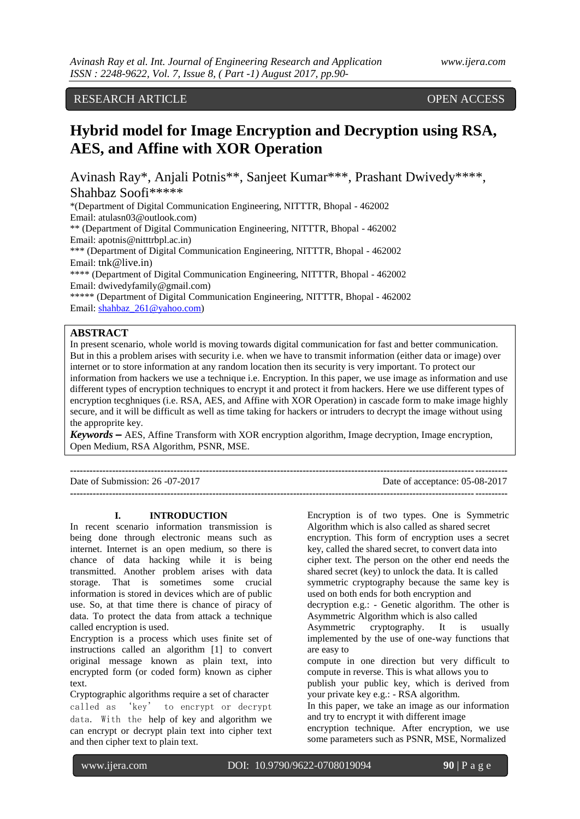RESEARCH ARTICLE **CONSERVANCE OPEN ACCESS** 

# **Hybrid model for Image Encryption and Decryption using RSA, AES, and Affine with XOR Operation**

Avinash Ray\*, Anjali Potnis\*\*, Sanjeet Kumar\*\*\*, Prashant Dwivedy\*\*\*\*, Shahbaz Soofi\*\*\*\*\*

\*(Department of Digital Communication Engineering, NITTTR, Bhopal - 462002 Email: atulasn03@outlook.com)

\*\* (Department of Digital Communication Engineering, NITTTR, Bhopal - 462002 Email: apotnis@nitttrbpl.ac.in)

\*\*\* (Department of Digital Communication Engineering, NITTTR, Bhopal - 462002 Email: tnk@live.in)

\*\*\*\* (Department of Digital Communication Engineering, NITTTR, Bhopal - 462002 Email: dwivedyfamily@gmail.com)

\*\*\*\*\* (Department of Digital Communication Engineering, NITTTR, Bhopal - 462002 Email: [shahbaz\\_261@yahoo.com\)](mailto:shahbaz_261@yahoo.com)

# **ABSTRACT**

In present scenario, whole world is moving towards digital communication for fast and better communication. But in this a problem arises with security i.e. when we have to transmit information (either data or image) over internet or to store information at any random location then its security is very important. To protect our information from hackers we use a technique i.e. Encryption. In this paper, we use image as information and use different types of encryption techniques to encrypt it and protect it from hackers. Here we use different types of encryption tecghniques (i.e. RSA, AES, and Affine with XOR Operation) in cascade form to make image highly secure, and it will be difficult as well as time taking for hackers or intruders to decrypt the image without using the approprite key.

*Keywords* **–** AES, Affine Transform with XOR encryption algorithm, Image decryption, Image encryption, Open Medium, RSA Algorithm, PSNR, MSE.

| Date of Submission: $26 -07 -2017$ | Date of acceptance: 05-08-2017 |
|------------------------------------|--------------------------------|
|                                    |                                |

# **I. INTRODUCTION**

In recent scenario information transmission is being done through electronic means such as internet. Internet is an open medium, so there is chance of data hacking while it is being transmitted. Another problem arises with data storage. That is sometimes some crucial information is stored in devices which are of public use. So, at that time there is chance of piracy of data. To protect the data from attack a technique called encryption is used.

Encryption is a process which uses finite set of instructions called an algorithm [1] to convert original message known as plain text, into encrypted form (or coded form) known as cipher text.

Cryptographic algorithms require a set of character called as 'key' to encrypt or decrypt data. With the help of key and algorithm we can encrypt or decrypt plain text into cipher text and then cipher text to plain text.

Encryption is of two types. One is Symmetric Algorithm which is also called as shared secret encryption. This form of encryption uses a secret key, called the shared secret, to convert data into cipher text. The person on the other end needs the shared secret (key) to unlock the data. It is called symmetric cryptography because the same key is used on both ends for both encryption and decryption e.g.: - Genetic algorithm. The other is Asymmetric Algorithm which is also called Asymmetric cryptography. It is usually implemented by the use of one-way functions that are easy to compute in one direction but very difficult to compute in reverse. This is what allows you to publish your public key, which is derived from your private key e.g.: - RSA algorithm. In this paper, we take an image as our information and try to encrypt it with different image encryption technique. After encryption, we use some parameters such as PSNR, MSE, Normalized

www.ijera.com DOI: 10.9790/9622-0708019094 **90** | P a g e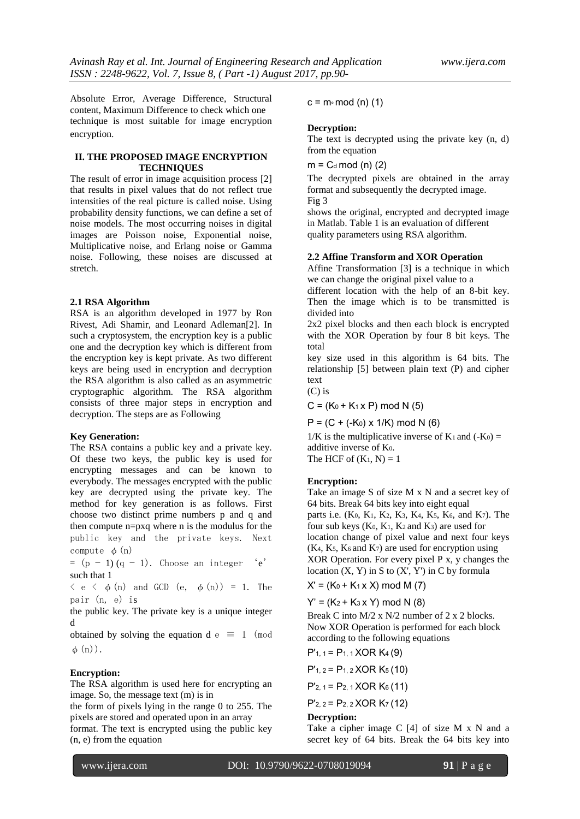Absolute Error, Average Difference, Structural content, Maximum Difference to check which one technique is most suitable for image encryption encryption.

# **II. THE PROPOSED IMAGE ENCRYPTION TECHNIQUES**

The result of error in image acquisition process [2] that results in pixel values that do not reflect true intensities of the real picture is called noise. Using probability density functions, we can define a set of noise models. The most occurring noises in digital images are Poisson noise, Exponential noise, Multiplicative noise, and Erlang noise or Gamma noise. Following, these noises are discussed at stretch.

### **2.1 RSA Algorithm**

RSA is an algorithm developed in 1977 by Ron Rivest, Adi Shamir, and Leonard Adleman[2]. In such a cryptosystem, the encryption key is a public one and the decryption key which is different from the encryption key is kept private. As two different keys are being used in encryption and decryption the RSA algorithm is also called as an asymmetric cryptographic algorithm. The RSA algorithm consists of three major steps in encryption and decryption. The steps are as Following

### **Key Generation:**

The RSA contains a public key and a private key. Of these two keys, the public key is used for encrypting messages and can be known to everybody. The messages encrypted with the public key are decrypted using the private key. The method for key generation is as follows. First choose two distinct prime numbers p and q and then compute n=pxq where n is the modulus for the public key and the private keys. Next compute  $\phi$  (n)

 $= (p - 1) (q - 1)$ . Choose an integer 'e' such that 1

 $\langle e \rangle \langle e \rangle$  (n) and GCD (e,  $\phi(n)$ ) = 1. The pair (n, e) is

the public key. The private key is a unique integer d

obtained by solving the equation d e  $\equiv$  1 (mod  $\phi(n)$ .

### **Encryption:**

The RSA algorithm is used here for encrypting an image. So, the message text (m) is in

the form of pixels lying in the range 0 to 255. The pixels are stored and operated upon in an array format. The text is encrypted using the public key (n, e) from the equation

 $c = m<sub>°</sub> \mod(n)$  (1)

#### **Decryption:**

The text is decrypted using the private key (n, d) from the equation

 $m = C_d \mod(n)$  (2)

The decrypted pixels are obtained in the array format and subsequently the decrypted image. Fig 3

shows the original, encrypted and decrypted image in Matlab. Table 1 is an evaluation of different quality parameters using RSA algorithm.

# **2.2 Affine Transform and XOR Operation**

Affine Transformation [3] is a technique in which we can change the original pixel value to a

different location with the help of an 8-bit key. Then the image which is to be transmitted is divided into

2x2 pixel blocks and then each block is encrypted with the XOR Operation by four 8 bit keys. The total

key size used in this algorithm is 64 bits. The relationship [5] between plain text (P) and cipher text

 $(C)$  is

 $C = (K_0 + K_1 \times P) \text{ mod } N$  (5)

 $P = (C + (-K_0) \times 1/K) \text{ mod } N$  (6)

 $1/K$  is the multiplicative inverse of K<sub>1</sub> and  $(-K_0)$  = additive inverse of K0. The HCF of  $(K_1, N) = 1$ 

**Encryption:**

Take an image S of size M x N and a secret key of 64 bits. Break 64 bits key into eight equal parts i.e. (K0, K1, K2, K3, K4, K5, K6, and K7). The four sub keys (K0, K1, K2 and K3) are used for location change of pixel value and next four keys  $(K<sub>4</sub>, K<sub>5</sub>, K<sub>6</sub> and K<sub>7</sub>)$  are used for encryption using XOR Operation. For every pixel P x, y changes the location  $(X, Y)$  in S to  $(X', Y')$  in C by formula

 $X' = (K_0 + K_1 \times X) \text{ mod } M$  (7)

 $Y' = (K_2 + K_3 x Y) \text{ mod } N$  (8)

Break C into M/2 x N/2 number of 2 x 2 blocks. Now XOR Operation is performed for each block according to the following equations

$$
P'_{1,1} = P_{1,1} \times OR \times (9)
$$

 $P'_{1, 2} = P_{1, 2}$  XOR K<sub>5</sub> (10)

 $P'_{2, 1} = P_{2, 1}$  XOR K $_6$  (11)

 $P'_{2, 2} = P_{2, 2} XOR K_7 (12)$ 

# **Decryption:**

Take a cipher image C [4] of size M x N and a secret key of 64 bits. Break the 64 bits key into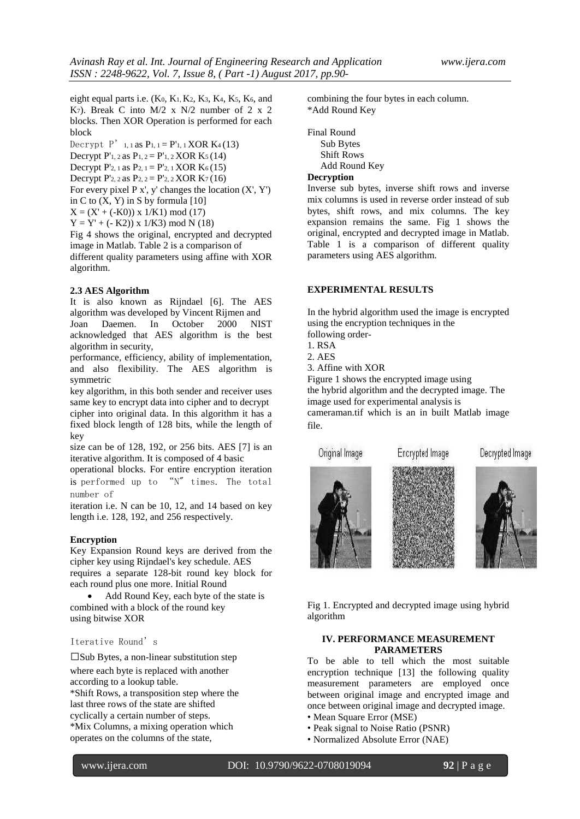eight equal parts i.e. (K0, K1, K2, K3, K4, K5, K6, and K7). Break C into  $M/2$  x  $N/2$  number of 2 x 2 blocks. Then XOR Operation is performed for each block

Decrypt  $P'_{1,1}$  as  $P_{1,1} = P'_{1,1}$  XOR K<sub>4</sub>(13) Decrypt P'<sub>1</sub>, 2 as P<sub>1</sub>,  $2 = P'$ <sup>1</sup>, 2 XOR K<sub>5</sub> (14) Decrypt P'2, 1 as P2,  $1 = P'_{2,1}$  XOR K<sub>6</sub>(15) Decrypt P'<sub>2</sub>, 2 as P<sub>2</sub>,  $2 = P'_{2}$ , 2 XOR K<sub>7</sub> (16) For every pixel  $P x'$ , y' changes the location  $(X', Y')$ in C to  $(X, Y)$  in S by formula [10]  $X = (X' + (-K0)) \times 1/K1$  mod (17)  $Y = Y' + (-K2) x 1/K3$  mod N (18)

Fig 4 shows the original, encrypted and decrypted image in Matlab. Table 2 is a comparison of different quality parameters using affine with XOR algorithm.

### **2.3 AES Algorithm**

It is also known as Rijndael [6]. The AES algorithm was developed by Vincent Rijmen and Joan Daemen. In October 2000 NIST acknowledged that AES algorithm is the best algorithm in security,

performance, efficiency, ability of implementation, and also flexibility. The AES algorithm is symmetric

key algorithm, in this both sender and receiver uses same key to encrypt data into cipher and to decrypt cipher into original data. In this algorithm it has a fixed block length of 128 bits, while the length of key

size can be of 128, 192, or 256 bits. AES [7] is an iterative algorithm. It is composed of 4 basic

operational blocks. For entire encryption iteration is performed up to "N" times. The total number of

iteration i.e. N can be 10, 12, and 14 based on key length i.e. 128, 192, and 256 respectively.

### **Encryption**

Key Expansion Round keys are derived from the cipher key using Rijndael's key schedule. AES requires a separate 128-bit round key block for each round plus one more. Initial Round

 Add Round Key, each byte of the state is combined with a block of the round key using bitwise XOR

# Iterative Round's

 $\square$ Sub Bytes, a non-linear substitution step where each byte is replaced with another according to a lookup table. \*Shift Rows, a transposition step where the last three rows of the state are shifted cyclically a certain number of steps. \*Mix Columns, a mixing operation which operates on the columns of the state,

combining the four bytes in each column. \*Add Round Key

Final Round Sub Bytes Shift Rows Add Round Key

# **Decryption**

Inverse sub bytes, inverse shift rows and inverse mix columns is used in reverse order instead of sub bytes, shift rows, and mix columns. The key expansion remains the same. Fig 1 shows the original, encrypted and decrypted image in Matlab. Table 1 is a comparison of different quality parameters using AES algorithm.

### **EXPERIMENTAL RESULTS**

In the hybrid algorithm used the image is encrypted using the encryption techniques in the following order-

1. RSA

2. AES

3. Affine with XOR

Figure 1 shows the encrypted image using the hybrid algorithm and the decrypted image. The image used for experimental analysis is cameraman.tif which is an in built Matlab image file.







Decrypted Image

Fig 1. Encrypted and decrypted image using hybrid algorithm

# **IV. PERFORMANCE MEASUREMENT PARAMETERS**

To be able to tell which the most suitable encryption technique [13] the following quality measurement parameters are employed once between original image and encrypted image and once between original image and decrypted image.

- Mean Square Error (MSE)
- Peak signal to Noise Ratio (PSNR)
- Normalized Absolute Error (NAE)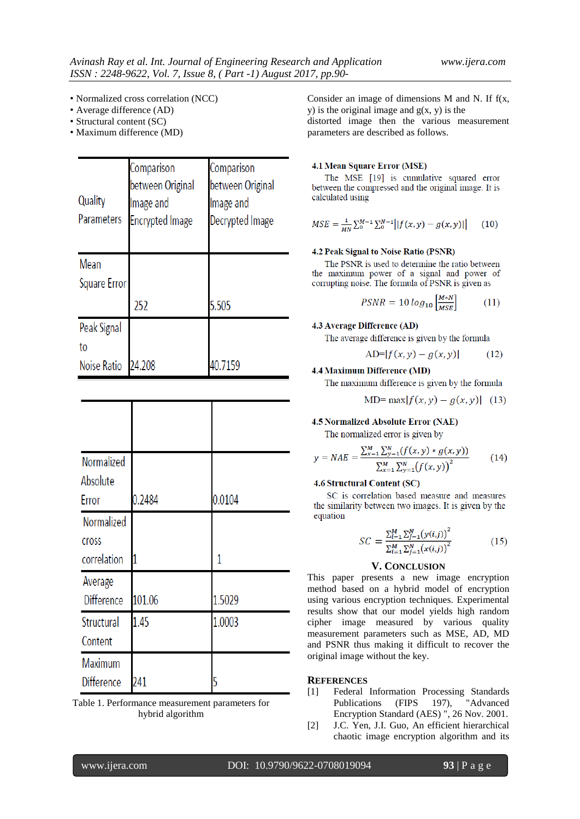- Normalized cross correlation (NCC)
- Average difference (AD)
- Structural content (SC)
- Maximum difference (MD)

| Quality<br>Parameters | Comparison<br>between Original<br>lmage and<br><b>Encrypted Image</b> | Comparison<br>between Original<br>lmage and<br>Decrypted Image |
|-----------------------|-----------------------------------------------------------------------|----------------------------------------------------------------|
| Mean                  |                                                                       |                                                                |
| Square Error          |                                                                       |                                                                |
|                       | 252                                                                   | 5.505                                                          |
| Peak Signal           |                                                                       |                                                                |
| to                    |                                                                       |                                                                |
| Noise Ratio           | 24.208                                                                | 40.7159                                                        |

| Normalized<br>Absolute<br>Error    | 0.2484 | 0.0104 |
|------------------------------------|--------|--------|
| Normalized<br>cross<br>correlation |        | 1      |
| Average<br><b>Difference</b>       | 101.06 | 1.5029 |
| Structural<br>Content              | 1.45   | 1.0003 |
| Maximum<br><b>Difference</b>       | 241    | 5      |

Table 1. Performance measurement parameters for hybrid algorithm

Consider an image of dimensions M and N. If f(x, y) is the original image and  $g(x, y)$  is the distorted image then the various measurement parameters are described as follows.

### 4.1 Mean Square Error (MSE)

The MSE [19] is cumulative squared error between the compressed and the original image. It is calculated using

$$
MSE = \frac{1}{MN} \sum_{0}^{M-1} \sum_{0}^{N-1} |f(x, y) - g(x, y)|
$$
 (10)

# 4.2 Peak Signal to Noise Ratio (PSNR)

The PSNR is used to determine the ratio between the maximum power of a signal and power of corrupting noise. The formula of PSNR is given as

$$
PSNR = 10 \log_{10} \left[ \frac{M*N}{MSE} \right] \tag{11}
$$

### 4.3 Average Difference (AD)

The average difference is given by the formula

$$
AD=|f(x,y) - g(x,y)| \t(12)
$$

### 4.4 Maximum Difference (MD)

The maximum difference is given by the formula

$$
MD = \max |f(x, y) - g(x, y)| \quad (13)
$$

#### 4.5 Normalized Absolute Error (NAE)

The normalized error is given by

$$
y = NAE = \frac{\sum_{x=1}^{M} \sum_{y=1}^{N} (f(x, y) * g(x, y))}{\sum_{x=1}^{M} \sum_{y=1}^{N} (f(x, y))^{2}}
$$
(14)

### **4.6 Structural Content (SC)**

SC is correlation based measure and measures the similarity between two images. It is given by the equation

$$
SC = \frac{\sum_{i=1}^{M} \sum_{j=1}^{N} (y(i,j))^2}{\sum_{i=1}^{M} \sum_{j=1}^{N} (x(i,j))^2}
$$
(15)

### **V. CONCLUSION**

This paper presents a new image encryption method based on a hybrid model of encryption using various encryption techniques. Experimental results show that our model yields high random cipher image measured by various quality measurement parameters such as MSE, AD, MD and PSNR thus making it difficult to recover the original image without the key.

### **REFERENCES**

- [1] Federal Information Processing Standards Publications (FIPS 197), "Advanced Encryption Standard (AES) ", 26 Nov. 2001.
- [2] J.C. Yen, J.I. Guo, An efficient hierarchical chaotic image encryption algorithm and its